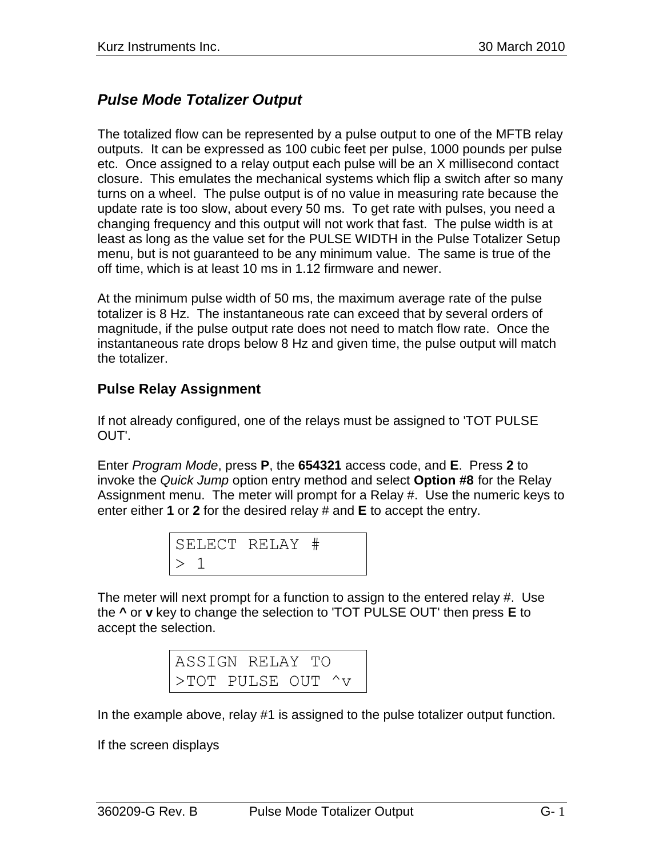## *Pulse Mode Totalizer Output*

The totalized flow can be represented by a pulse output to one of the MFTB relay outputs. It can be expressed as 100 cubic feet per pulse, 1000 pounds per pulse etc. Once assigned to a relay output each pulse will be an X millisecond contact closure. This emulates the mechanical systems which flip a switch after so many turns on a wheel. The pulse output is of no value in measuring rate because the update rate is too slow, about every 50 ms. To get rate with pulses, you need a changing frequency and this output will not work that fast. The pulse width is at least as long as the value set for the PULSE WIDTH in the Pulse Totalizer Setup menu, but is not guaranteed to be any minimum value. The same is true of the off time, which is at least 10 ms in 1.12 firmware and newer.

At the minimum pulse width of 50 ms, the maximum average rate of the pulse totalizer is 8 Hz. The instantaneous rate can exceed that by several orders of magnitude, if the pulse output rate does not need to match flow rate. Once the instantaneous rate drops below 8 Hz and given time, the pulse output will match the totalizer.

## **Pulse Relay Assignment**

If not already configured, one of the relays must be assigned to 'TOT PULSE OUT'.

Enter *Program Mode*, press **P**, the **654321** access code, and **E**. Press **2** to invoke the *Quick Jump* option entry method and select **Option #8** for the Relay Assignment menu. The meter will prompt for a Relay #. Use the numeric keys to enter either **1** or **2** for the desired relay # and **E** to accept the entry.

| SELECT RELAY # |  |
|----------------|--|
|                |  |

The meter will next prompt for a function to assign to the entered relay #. Use the **^** or **v** key to change the selection to 'TOT PULSE OUT' then press **E** to accept the selection.

| ASSIGN RELAY TO   |  |  |  |
|-------------------|--|--|--|
| >TOT PULSE OUT ^v |  |  |  |

In the example above, relay #1 is assigned to the pulse totalizer output function.

If the screen displays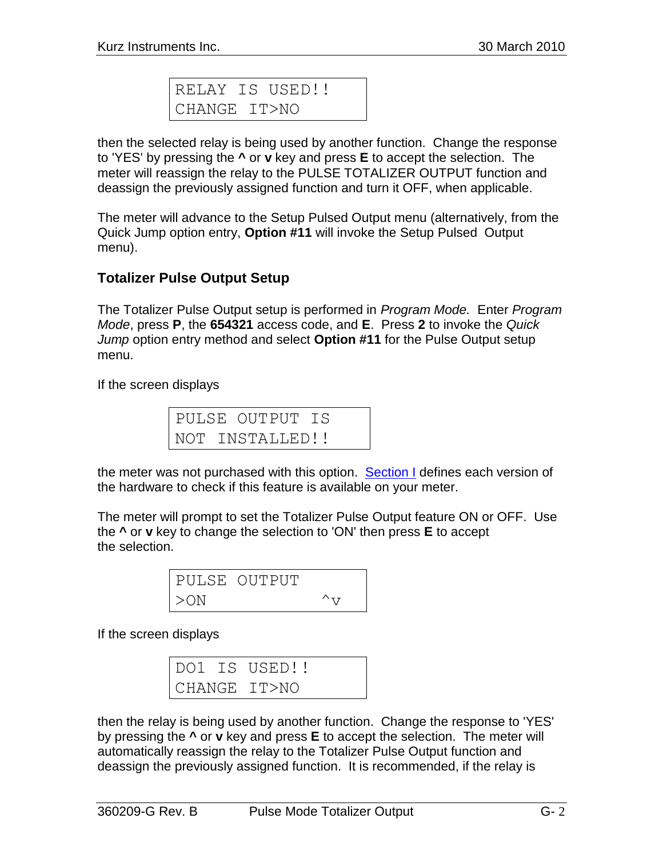|              | RELAY IS USED!! |  |
|--------------|-----------------|--|
| CHANGE IT>NO |                 |  |

then the selected relay is being used by another function. Change the response to 'YES' by pressing the **^** or **v** key and press **E** to accept the selection. The meter will reassign the relay to the PULSE TOTALIZER OUTPUT function and deassign the previously assigned function and turn it OFF, when applicable.

The meter will advance to the Setup Pulsed Output menu (alternatively, from the Quick Jump option entry, **Option #11** will invoke the Setup Pulsed Output menu).

## **Totalizer Pulse Output Setup**

The Totalizer Pulse Output setup is performed in *Program Mode.* Enter *Program Mode*, press **P**, the **654321** access code, and **E**. Press **2** to invoke the *Quick Jump* option entry method and select **Option #11** for the Pulse Output setup menu.

If the screen displays

|  | PULSE OUTPUT IS |  |
|--|-----------------|--|
|  | NOT INSTALLED!! |  |

the meter was not purchased with this option. [Section I](360209-I%20SC%20board%20versions.pdf) defines each version of the hardware to check if this feature is available on your meter.

The meter will prompt to set the Totalizer Pulse Output feature ON or OFF. Use the **^** or **v** key to change the selection to 'ON' then press **E** to accept the selection.

|        | PULSE OUTPUT |               |
|--------|--------------|---------------|
| $>$ ON |              | $\wedge_{77}$ |

If the screen displays

|  | DO1 IS USED!! |
|--|---------------|
|  | CHANGE IT>NO  |

then the relay is being used by another function. Change the response to 'YES' by pressing the **^** or **v** key and press **E** to accept the selection. The meter will automatically reassign the relay to the Totalizer Pulse Output function and deassign the previously assigned function. It is recommended, if the relay is